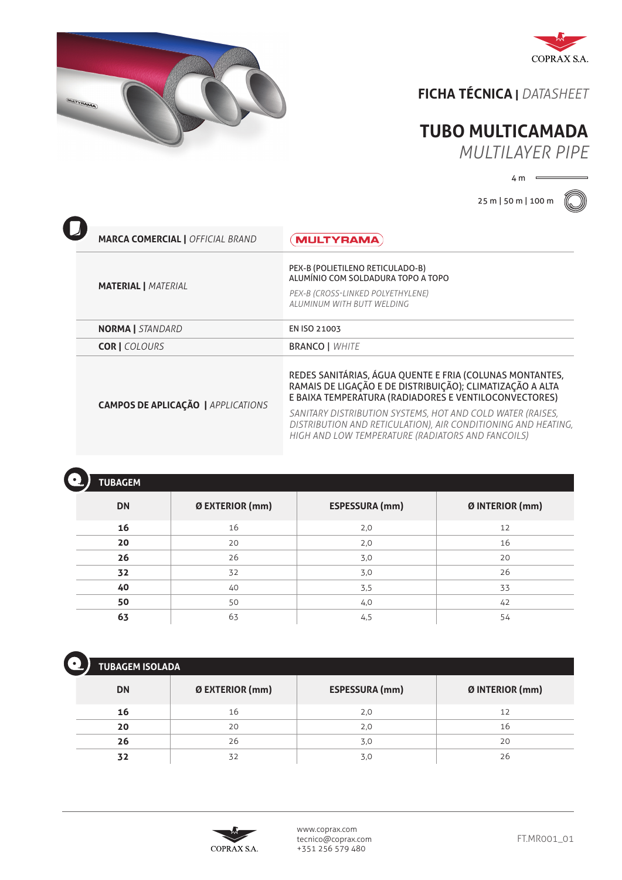



## **FICHA TÉCNICA |** *DATASHEET*

## **TUBO MULTICAMADA**

*MULTILAYER PIPE*

 $4 m \equiv$ 

25 m | 50 m | 100 m



| <b>MARCA COMERCIAL   OFFICIAL BRAND</b>   | <b>MULTYRAMA</b>                                                                                                                                                                                                                                                                                                                                                   |
|-------------------------------------------|--------------------------------------------------------------------------------------------------------------------------------------------------------------------------------------------------------------------------------------------------------------------------------------------------------------------------------------------------------------------|
| <b>MATERIAL   MATERIAL</b>                | PEX-B (POLIETILENO RETICULADO-B)<br>ALUMÍNIO COM SOLDADURA TOPO A TOPO<br>PEX-B (CROSS-LINKED POLYETHYLENE)<br>ALUMINUM WITH BUTT WELDING                                                                                                                                                                                                                          |
| <b>NORMA</b> STANDARD                     | EN ISO 21003                                                                                                                                                                                                                                                                                                                                                       |
| <b>COR   COLOURS</b>                      | <b>BRANCO   WHITE</b>                                                                                                                                                                                                                                                                                                                                              |
| <b>CAMPOS DE APLICAÇÃO   APPLICATIONS</b> | REDES SANITÁRIAS, ÁGUA QUENTE E FRIA (COLUNAS MONTANTES,<br>RAMAIS DE LIGAÇÃO E DE DISTRIBUIÇÃO); CLIMATIZAÇÃO A ALTA<br>E BAIXA TEMPERATURA (RADIADORES E VENTILOCONVECTORES)<br>SANITARY DISTRIBUTION SYSTEMS, HOT AND COLD WATER (RAISES,<br>DISTRIBUTION AND RETICULATION), AIR CONDITIONING AND HEATING,<br>HIGH AND LOW TEMPERATURE (RADIATORS AND FANCOILS) |

| <b>TUBAGEM</b> |                 |                       |                 |
|----------------|-----------------|-----------------------|-----------------|
| <b>DN</b>      | Ø EXTERIOR (mm) | <b>ESPESSURA (mm)</b> | Ø INTERIOR (mm) |
| 16             | 16              | 2,0                   | 12              |
| 20             | 20              | 2,0                   | 16              |
| 26             | 26              | 3,0                   | 20              |
| 32             | 32              | 3,0                   | 26              |
| 40             | 40              | 3,5                   | 33              |
| 50             | 50              | 4,0                   | 42              |
| 63             | 63              | 4,5                   | 54              |

| <b>TUBAGEM ISOLADA</b> |                 |                       |                 |  |
|------------------------|-----------------|-----------------------|-----------------|--|
| <b>DN</b>              | Ø EXTERIOR (mm) | <b>ESPESSURA (mm)</b> | Ø INTERIOR (mm) |  |
| 16                     | 16              | 2,0                   | 12              |  |
| 20                     | 20              | 2,0                   | 16              |  |
| 26                     | 26              | 3,0                   | 20              |  |
| 32                     | 32              | 3,0                   | 26              |  |



www.coprax.com tecnico@coprax.com +351 256 579 480